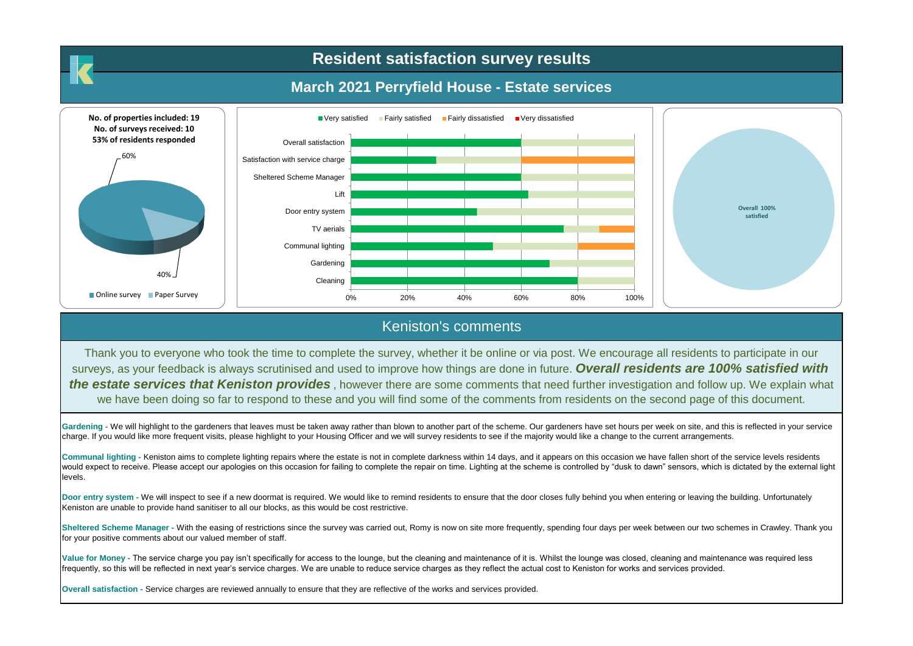## **Resident satisfaction survey results**

## **March 2021 Perryfield House - Estate services**



## Keniston's comments

Thank you to everyone who took the time to complete the survey, whether it be online or via post. We encourage all residents to participate in our surveys, as your feedback is always scrutinised and used to improve how things are done in future. *Overall residents are 100% satisfied with the estate services that Keniston provides* , however there are some comments that need further investigation and follow up. We explain what we have been doing so far to respond to these and you will find some of the comments from residents on the second page of this document.

Gardening - We will highlight to the gardeners that leaves must be taken away rather than blown to another part of the scheme. Our gardeners have set hours per week on site, and this is reflected in your service charge. If you would like more frequent visits, please highlight to your Housing Officer and we will survey residents to see if the majority would like a change to the current arrangements.

**Communal lighting -** Keniston aims to complete lighting repairs where the estate is not in complete darkness within 14 days, and it appears on this occasion we have fallen short of the service levels residents would expect to receive. Please accept our apologies on this occasion for failing to complete the repair on time. Lighting at the scheme is controlled by "dusk to dawn" sensors, which is dictated by the external light levels.

Door entry system - We will inspect to see if a new doormat is required. We would like to remind residents to ensure that the door closes fully behind you when entering or leaving the building. Unfortunately Keniston are unable to provide hand sanitiser to all our blocks, as this would be cost restrictive.

Sheltered Scheme Manager - With the easing of restrictions since the survey was carried out, Romy is now on site more frequently, spending four days per week between our two schemes in Crawley. Thank you for your positive comments about our valued member of staff.

Value for Money - The service charge you pay isn't specifically for access to the lounge, but the cleaning and maintenance of it is. Whilst the lounge was closed, cleaning and maintenance was required less frequently, so this will be reflected in next year's service charges. We are unable to reduce service charges as they reflect the actual cost to Keniston for works and services provided.

**Overall satisfaction -** Service charges are reviewed annually to ensure that they are reflective of the works and services provided.